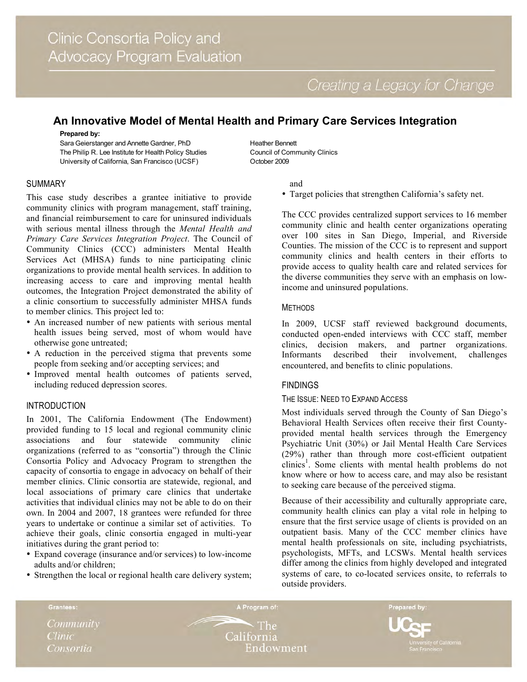# **An Innovative Model of Mental Health and Primary Care Services Integration**

#### **Prepared by:**

Sara Geierstanger and Annette Gardner, PhD The Philip R. Lee Institute for Health Policy Studies University of California, San Francisco (UCSF)

Heather Bennett Council of Community Clinics October 2009

# SUMMARY

This case study describes a grantee initiative to provide community clinics with program management, staff training, and financial reimbursement to care for uninsured individuals with serious mental illness through the *Mental Health and Primary Care Services Integration Project*. The Council of Community Clinics (CCC) administers Mental Health Services Act (MHSA) funds to nine participating clinic organizations to provide mental health services. In addition to increasing access to care and improving mental health outcomes, the Integration Project demonstrated the ability of a clinic consortium to successfully administer MHSA funds to member clinics. This project led to:

- An increased number of new patients with serious mental health issues being served, most of whom would have otherwise gone untreated;
- A reduction in the perceived stigma that prevents some people from seeking and/or accepting services; and
- Improved mental health outcomes of patients served, including reduced depression scores.

## INTRODUCTION

In 2001, The California Endowment (The Endowment) provided funding to 15 local and regional community clinic associations and four statewide community clinic organizations (referred to as "consortia") through the Clinic Consortia Policy and Advocacy Program to strengthen the capacity of consortia to engage in advocacy on behalf of their member clinics. Clinic consortia are statewide, regional, and local associations of primary care clinics that undertake activities that individual clinics may not be able to do on their own. In 2004 and 2007, 18 grantees were refunded for three years to undertake or continue a similar set of activities. To achieve their goals, clinic consortia engaged in multi-year initiatives during the grant period to:

- Expand coverage (insurance and/or services) to low-income adults and/or children;
- Strengthen the local or regional health care delivery system;
- and
- Target policies that strengthen California's safety net.

The CCC provides centralized support services to 16 member community clinic and health center organizations operating over 100 sites in San Diego, Imperial, and Riverside Counties. The mission of the CCC is to represent and support community clinics and health centers in their efforts to provide access to quality health care and related services for the diverse communities they serve with an emphasis on lowincome and uninsured populations.

# METHODS

In 2009, UCSF staff reviewed background documents, conducted open-ended interviews with CCC staff, member clinics, decision makers, and partner organizations. Informants described their involvement, challenges encountered, and benefits to clinic populations.

# FINDINGS

## THE ISSUE: NEED TO EXPAND ACCESS

Most individuals served through the County of San Diego's Behavioral Health Services often receive their first Countyprovided mental health services through the Emergency Psychiatric Unit (30%) or Jail Mental Health Care Services (29%) rather than through more cost-efficient outpatient clinics<sup>1</sup>. Some clients with mental health problems do not know where or how to access care, and may also be resistant to seeking care because of the perceived stigma.

Because of their accessibility and culturally appropriate care, community health clinics can play a vital role in helping to ensure that the first service usage of clients is provided on an outpatient basis. Many of the CCC member clinics have mental health professionals on site, including psychiatrists, psychologists, MFTs, and LCSWs. Mental health services differ among the clinics from highly developed and integrated systems of care, to co-located services onsite, to referrals to outside providers.

Community **Clinic** Consortia

Grantees:

**The** California Endowment

A Program of:

Prepared by: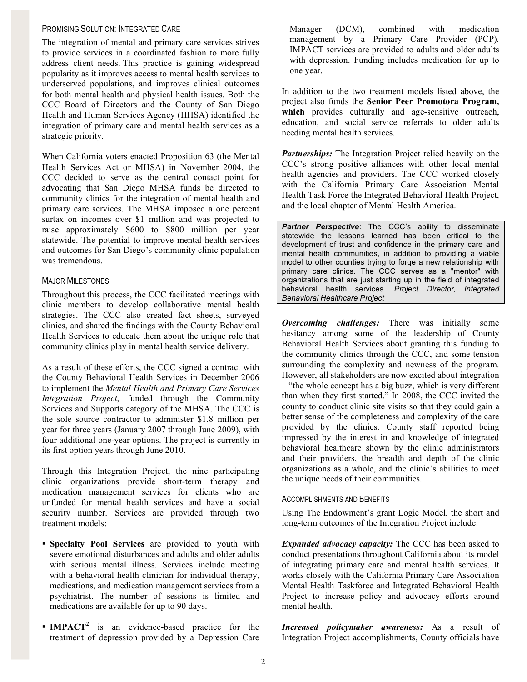## PROMISING SOLUTION: INTEGRATED CARE

The integration of mental and primary care services strives to provide services in a coordinated fashion to more fully address client needs. This practice is gaining widespread popularity as it improves access to mental health services to underserved populations, and improves clinical outcomes for both mental health and physical health issues. Both the CCC Board of Directors and the County of San Diego Health and Human Services Agency (HHSA) identified the integration of primary care and mental health services as a strategic priority.

When California voters enacted Proposition 63 (the Mental Health Services Act or MHSA) in November 2004, the CCC decided to serve as the central contact point for advocating that San Diego MHSA funds be directed to community clinics for the integration of mental health and primary care services. The MHSA imposed a one percent surtax on incomes over \$1 million and was projected to raise approximately \$600 to \$800 million per year statewide. The potential to improve mental health services and outcomes for San Diego's community clinic population was tremendous.

## MAJOR MILESTONES

Throughout this process, the CCC facilitated meetings with clinic members to develop collaborative mental health strategies. The CCC also created fact sheets, surveyed clinics, and shared the findings with the County Behavioral Health Services to educate them about the unique role that community clinics play in mental health service delivery.

As a result of these efforts, the CCC signed a contract with the County Behavioral Health Services in December 2006 to implement the *Mental Health and Primary Care Services Integration Project*, funded through the Community Services and Supports category of the MHSA. The CCC is the sole source contractor to administer \$1.8 million per year for three years (January 2007 through June 2009), with four additional one-year options. The project is currently in its first option years through June 2010.

Through this Integration Project, the nine participating clinic organizations provide short-term therapy and medication management services for clients who are unfunded for mental health services and have a social security number. Services are provided through two treatment models:

- **Specialty Pool Services** are provided to youth with severe emotional disturbances and adults and older adults with serious mental illness. Services include meeting with a behavioral health clinician for individual therapy, medications, and medication management services from a psychiatrist. The number of sessions is limited and medications are available for up to 90 days.
- **IMPACT<sup>2</sup>** is an evidence-based practice for the treatment of depression provided by a Depression Care

Manager (DCM), combined with medication management by a Primary Care Provider (PCP). IMPACT services are provided to adults and older adults with depression. Funding includes medication for up to one year.

In addition to the two treatment models listed above, the project also funds the **Senior Peer Promotora Program, which** provides culturally and age-sensitive outreach, education, and social service referrals to older adults needing mental health services.

*Partnerships:* The Integration Project relied heavily on the CCC's strong positive alliances with other local mental health agencies and providers. The CCC worked closely with the California Primary Care Association Mental Health Task Force the Integrated Behavioral Health Project, and the local chapter of Mental Health America.

*Partner Perspective*: The CCC's ability to disseminate statewide the lessons learned has been critical to the development of trust and confidence in the primary care and mental health communities, in addition to providing a viable model to other counties trying to forge a new relationship with primary care clinics. The CCC serves as a "mentor" with organizations that are just starting up in the field of integrated behavioral health services. *Project Director, Integrated Behavioral Healthcare Project* 

*Overcoming challenges:* There was initially some hesitancy among some of the leadership of County Behavioral Health Services about granting this funding to the community clinics through the CCC, and some tension surrounding the complexity and newness of the program. However, all stakeholders are now excited about integration – "the whole concept has a big buzz, which is very different than when they first started." In 2008, the CCC invited the county to conduct clinic site visits so that they could gain a better sense of the completeness and complexity of the care provided by the clinics. County staff reported being impressed by the interest in and knowledge of integrated behavioral healthcare shown by the clinic administrators and their providers, the breadth and depth of the clinic organizations as a whole, and the clinic's abilities to meet the unique needs of their communities.

## ACCOMPLISHMENTS AND BENEFITS

Using The Endowment's grant Logic Model, the short and long-term outcomes of the Integration Project include:

*Expanded advocacy capacity:* The CCC has been asked to conduct presentations throughout California about its model of integrating primary care and mental health services. It works closely with the California Primary Care Association Mental Health Taskforce and Integrated Behavioral Health Project to increase policy and advocacy efforts around mental health.

*Increased policymaker awareness:* As a result of Integration Project accomplishments, County officials have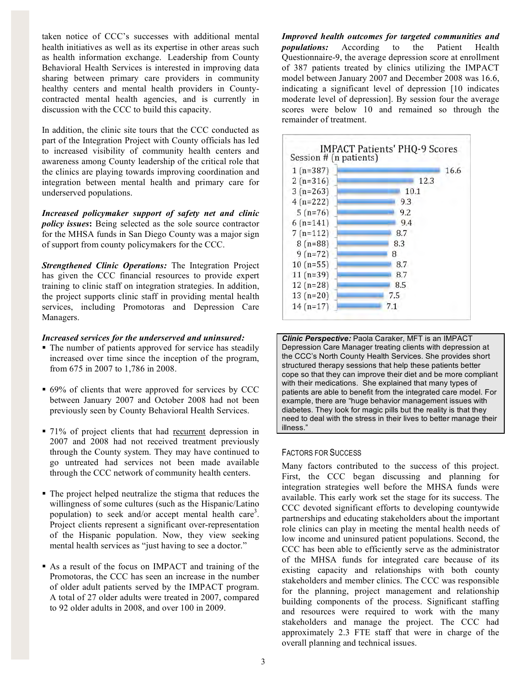taken notice of CCC's successes with additional mental health initiatives as well as its expertise in other areas such as health information exchange. Leadership from County Behavioral Health Services is interested in improving data sharing between primary care providers in community healthy centers and mental health providers in Countycontracted mental health agencies, and is currently in discussion with the CCC to build this capacity.

In addition, the clinic site tours that the CCC conducted as part of the Integration Project with County officials has led to increased visibility of community health centers and awareness among County leadership of the critical role that the clinics are playing towards improving coordination and integration between mental health and primary care for underserved populations.

*Increased policymaker support of safety net and clinic policy issues***:** Being selected as the sole source contractor for the MHSA funds in San Diego County was a major sign of support from county policymakers for the CCC.

*Strengthened Clinic Operations:* The Integration Project has given the CCC financial resources to provide expert training to clinic staff on integration strategies. In addition, the project supports clinic staff in providing mental health services, including Promotoras and Depression Care Managers.

#### *Increased services for the underserved and uninsured:*

- The number of patients approved for service has steadily increased over time since the inception of the program, from 675 in 2007 to 1,786 in 2008.
- 69% of clients that were approved for services by CCC between January 2007 and October 2008 had not been previously seen by County Behavioral Health Services.
- 71% of project clients that had recurrent depression in 2007 and 2008 had not received treatment previously through the County system. They may have continued to go untreated had services not been made available through the CCC network of community health centers.
- The project helped neutralize the stigma that reduces the willingness of some cultures (such as the Hispanic/Latino population) to seek and/or accept mental health care<sup>3</sup>. Project clients represent a significant over-representation of the Hispanic population. Now, they view seeking mental health services as "just having to see a doctor."
- As a result of the focus on IMPACT and training of the Promotoras, the CCC has seen an increase in the number of older adult patients served by the IMPACT program. A total of 27 older adults were treated in 2007, compared to 92 older adults in 2008, and over 100 in 2009.

*Improved health outcomes for targeted communities and populations:* According to the Patient Health Questionnaire-9, the average depression score at enrollment of 387 patients treated by clinics utilizing the IMPACT model between January 2007 and December 2008 was 16.6, indicating a significant level of depression [10 indicates moderate level of depression]. By session four the average scores were below 10 and remained so through the remainder of treatment.



*Clinic Perspective:* Paola Caraker, MFT is an IMPACT Depression Care Manager treating clients with depression at the CCC's North County Health Services. She provides short structured therapy sessions that help these patients better cope so that they can improve their diet and be more compliant with their medications. She explained that many types of patients are able to benefit from the integrated care model. For example, there are "huge behavior management issues with diabetes. They look for magic pills but the reality is that they need to deal with the stress in their lives to better manage their illness."

## FACTORS FOR SUCCESS

Many factors contributed to the success of this project. First, the CCC began discussing and planning for integration strategies well before the MHSA funds were available. This early work set the stage for its success. The CCC devoted significant efforts to developing countywide partnerships and educating stakeholders about the important role clinics can play in meeting the mental health needs of low income and uninsured patient populations. Second, the CCC has been able to efficiently serve as the administrator of the MHSA funds for integrated care because of its existing capacity and relationships with both county stakeholders and member clinics. The CCC was responsible for the planning, project management and relationship building components of the process. Significant staffing and resources were required to work with the many stakeholders and manage the project. The CCC had approximately 2.3 FTE staff that were in charge of the overall planning and technical issues.